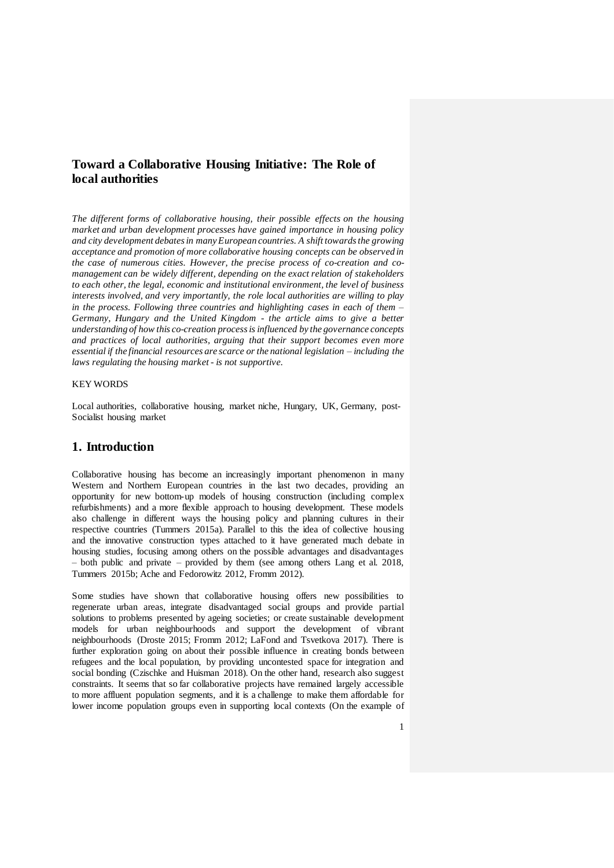# **Toward a Collaborative Housing Initiative: The Role of local authorities**

*The different forms of collaborative housing, their possible effects on the housing market and urban development processes have gained importance in housing policy and city development debates in many European countries. A shift towards the growing acceptance and promotion of more collaborative housing concepts can be observed in the case of numerous cities. However, the precise process of co-creation and comanagement can be widely different, depending on the exact relation of stakeholders to each other, the legal, economic and institutional environment, the level of business interests involved, and very importantly, the role local authorities are willing to play in the process. Following three countries and highlighting cases in each of them – Germany, Hungary and the United Kingdom - the article aims to give a better understanding of how this co-creation process is influenced by the governance concepts and practices of local authorities, arguing that their support becomes even more essential if the financial resources are scarce or the national legislation – including the laws regulating the housing market - is not supportive.* 

### KEY WORDS

Local authorities, collaborative housing, market niche, Hungary, UK, Germany, post-Socialist housing market

# **1. Introduction**

Collaborative housing has become an increasingly important phenomenon in many Western and Northern European countries in the last two decades, providing an opportunity for new bottom-up models of housing construction (including complex refurbishments) and a more flexible approach to housing development. These models also challenge in different ways the housing policy and planning cultures in their respective countries (Tummers 2015a). Parallel to this the idea of collective housing and the innovative construction types attached to it have generated much debate in housing studies, focusing among others on the possible advantages and disadvantages – both public and private – provided by them (see among others Lang et al. 2018, Tummers 2015b; Ache and Fedorowitz 2012, Fromm 2012).

Some studies have shown that collaborative housing offers new possibilities to regenerate urban areas, integrate disadvantaged social groups and provide partial solutions to problems presented by ageing societies; or create sustainable development models for urban neighbourhoods and support the development of vibrant neighbourhoods (Droste 2015; Fromm 2012; LaFond and Tsvetkova 2017). There is further exploration going on about their possible influence in creating bonds between refugees and the local population, by providing uncontested space for integration and social bonding (Czischke and Huisman 2018). On the other hand, research also suggest constraints. It seems that so far collaborative projects have remained largely accessible to more affluent population segments, and it is a challenge to make them affordable for lower income population groups even in supporting local contexts (On the example of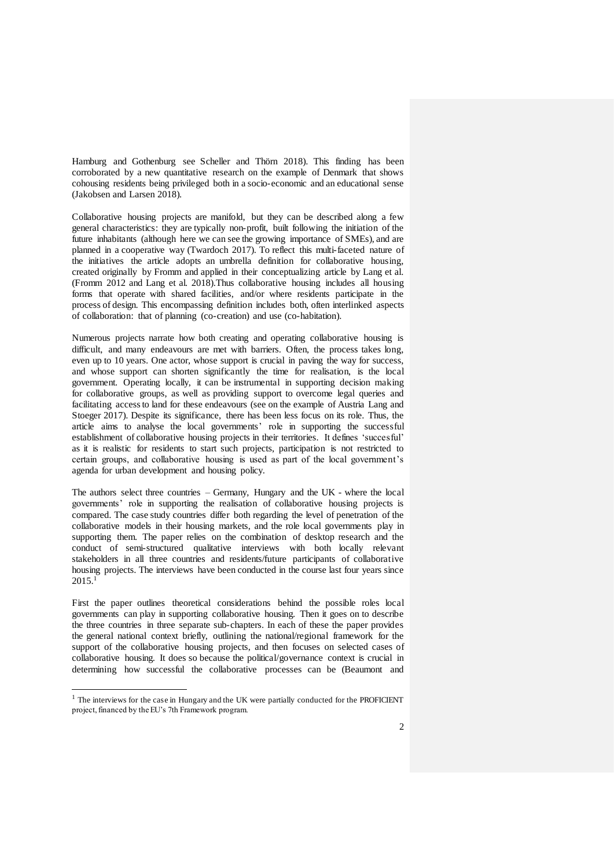Hamburg and Gothenburg see Scheller and Thörn 2018). This finding has been corroborated by a new quantitative research on the example of Denmark that shows cohousing residents being privileged both in a socio-economic and an educational sense (Jakobsen and Larsen 2018).

Collaborative housing projects are manifold, but they can be described along a few general characteristics: they are typically non-profit, built following the initiation of the future inhabitants (although here we can see the growing importance of SMEs), and are planned in a cooperative way (Twardoch 2017). To reflect this multi-faceted nature of the initiatives the article adopts an umbrella definition for collaborative housing, created originally by Fromm and applied in their conceptualizing article by Lang et al. (Fromm 2012 and Lang et al. 2018).Thus collaborative housing includes all housing forms that operate with shared facilities, and/or where residents participate in the process of design. This encompassing definition includes both, often interlinked aspects of collaboration: that of planning (co-creation) and use (co-habitation).

Numerous projects narrate how both creating and operating collaborative housing is difficult, and many endeavours are met with barriers. Often, the process takes long, even up to 10 years. One actor, whose support is crucial in paving the way for success, and whose support can shorten significantly the time for realisation, is the local government. Operating locally, it can be instrumental in supporting decision making for collaborative groups, as well as providing support to overcome legal queries and facilitating access to land for these endeavours (see on the example of Austria Lang and Stoeger 2017). Despite its significance, there has been less focus on its role. Thus, the article aims to analyse the local governments' role in supporting the successful establishment of collaborative housing projects in their territories. It defines 'succesful' as it is realistic for residents to start such projects, participation is not restricted to certain groups, and collaborative housing is used as part of the local government's agenda for urban development and housing policy.

The authors select three countries – Germany, Hungary and the UK - where the local governments' role in supporting the realisation of collaborative housing projects is compared. The case study countries differ both regarding the level of penetration of the collaborative models in their housing markets, and the role local governments play in supporting them. The paper relies on the combination of desktop research and the conduct of semi-structured qualitative interviews with both locally relevant stakeholders in all three countries and residents/future participants of collaborative housing projects. The interviews have been conducted in the course last four years since 2015.<sup>1</sup>

First the paper outlines theoretical considerations behind the possible roles local governments can play in supporting collaborative housing. Then it goes on to describe the three countries in three separate sub-chapters. In each of these the paper provides the general national context briefly, outlining the national/regional framework for the support of the collaborative housing projects, and then focuses on selected cases of collaborative housing. It does so because the political/governance context is crucial in determining how successful the collaborative processes can be (Beaumont and

<sup>&</sup>lt;sup>1</sup> The interviews for the case in Hungary and the UK were partially conducted for the PROFICIENT project, financed by the EU's 7th Framework program.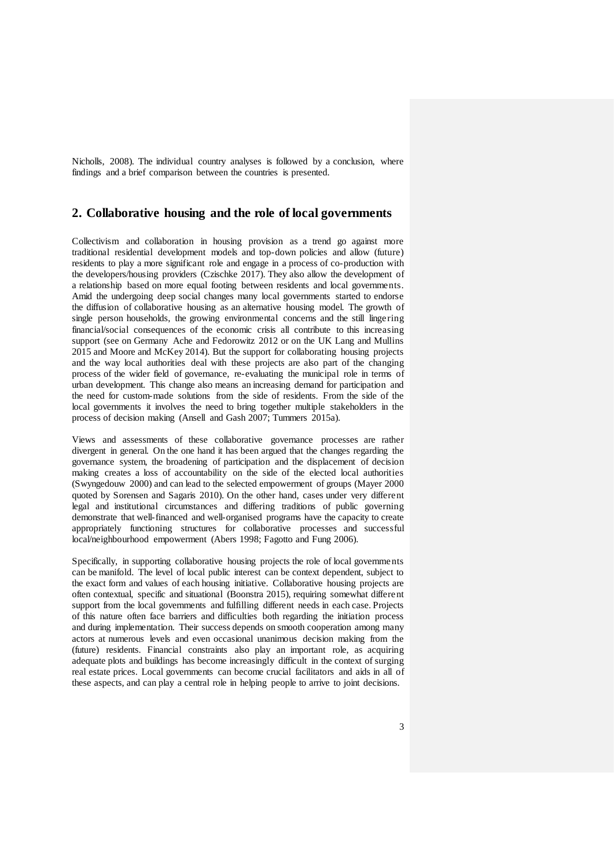Nicholls, 2008). The individual country analyses is followed by a conclusion, where findings and a brief comparison between the countries is presented.

## **2. Collaborative housing and the role of local governments**

Collectivism and collaboration in housing provision as a trend go against more traditional residential development models and top-down policies and allow (future) residents to play a more significant role and engage in a process of co-production with the developers/housing providers (Czischke 2017). They also allow the development of a relationship based on more equal footing between residents and local governments. Amid the undergoing deep social changes many local governments started to endorse the diffusion of collaborative housing as an alternative housing model. The growth of single person households, the growing environmental concerns and the still lingering financial/social consequences of the economic crisis all contribute to this increasing support (see on Germany Ache and Fedorowitz 2012 or on the UK Lang and Mullins 2015 and Moore and McKey 2014). But the support for collaborating housing projects and the way local authorities deal with these projects are also part of the changing process of the wider field of governance, re-evaluating the municipal role in terms of urban development. This change also means an increasing demand for participation and the need for custom-made solutions from the side of residents. From the side of the local governments it involves the need to bring together multiple stakeholders in the process of decision making (Ansell and Gash 2007; Tummers 2015a).

Views and assessments of these collaborative governance processes are rather divergent in general. On the one hand it has been argued that the changes regarding the governance system, the broadening of participation and the displacement of decision making creates a loss of accountability on the side of the elected local authorities (Swyngedouw 2000) and can lead to the selected empowerment of groups (Mayer 2000 quoted by Sorensen and Sagaris 2010). On the other hand, cases under very different legal and institutional circumstances and differing traditions of public governing demonstrate that well-financed and well-organised programs have the capacity to create appropriately functioning structures for collaborative processes and successful local/neighbourhood empowerment (Abers 1998; Fagotto and Fung 2006).

Specifically, in supporting collaborative housing projects the role of local governments can be manifold. The level of local public interest can be context dependent, subject to the exact form and values of each housing initiative. Collaborative housing projects are often contextual, specific and situational (Boonstra 2015), requiring somewhat different support from the local governments and fulfilling different needs in each case. Projects of this nature often face barriers and difficulties both regarding the initiation process and during implementation. Their success depends on smooth cooperation among many actors at numerous levels and even occasional unanimous decision making from the (future) residents. Financial constraints also play an important role, as acquiring adequate plots and buildings has become increasingly difficult in the context of surging real estate prices. Local governments can become crucial facilitators and aids in all of these aspects, and can play a central role in helping people to arrive to joint decisions.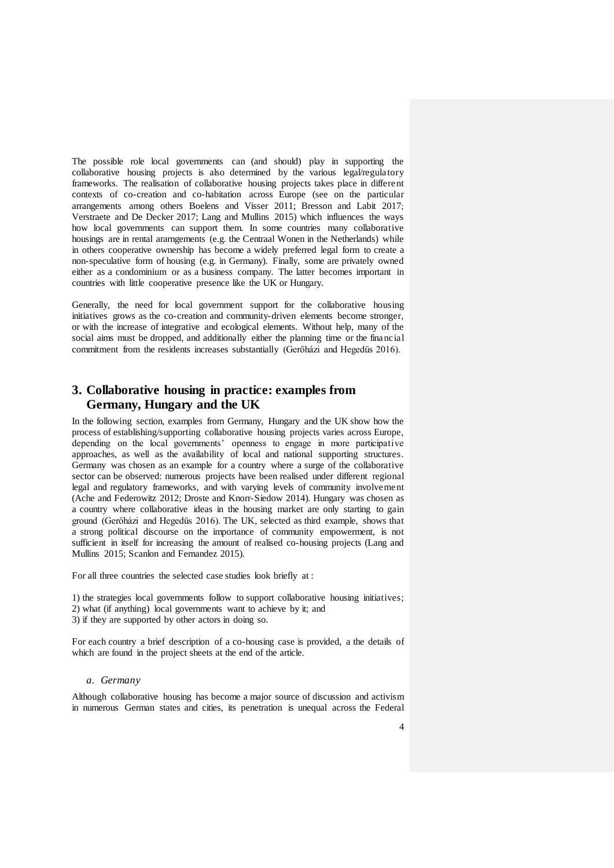The possible role local governments can (and should) play in supporting the collaborative housing projects is also determined by the various legal/regulatory frameworks. The realisation of collaborative housing projects takes place in different contexts of co-creation and co-habitation across Europe (see on the particular arrangements among others Boelens and Visser 2011; Bresson and Labit 2017; Verstraete and De Decker 2017; Lang and Mullins 2015) which influences the ways how local governments can support them. In some countries many collaborative housings are in rental ararngements (e.g. the Centraal Wonen in the Netherlands) while in others cooperative ownership has become a widely preferred legal form to create a non-speculative form of housing (e.g. in Germany). Finally, some are privately owned either as a condominium or as a business company. The latter becomes important in countries with little cooperative presence like the UK or Hungary.

Generally, the need for local government support for the collaborative housing initiatives grows as the co-creation and community-driven elements become stronger, or with the increase of integrative and ecological elements. Without help, many of the social aims must be dropped, and additionally either the planning time or the financial commitment from the residents increases substantially (Gerőházi and Hegedüs 2016).

# **3. Collaborative housing in practice: examples from Germany, Hungary and the UK**

In the following section, examples from Germany, Hungary and the UK show how the process of establishing/supporting collaborative housing projects varies across Europe, depending on the local governments' openness to engage in more participative approaches, as well as the availability of local and national supporting structures. Germany was chosen as an example for a country where a surge of the collaborative sector can be observed: numerous projects have been realised under different regional legal and regulatory frameworks, and with varying levels of community involvement (Ache and Federowitz 2012; Droste and Knorr-Siedow 2014). Hungary was chosen as a country where collaborative ideas in the housing market are only starting to gain ground (Gerőházi and Hegedüs 2016). The UK, selected as third example, shows that a strong political discourse on the importance of community empowerment, is not sufficient in itself for increasing the amount of realised co-housing projects (Lang and Mullins 2015; Scanlon and Fernandez 2015).

For all three countries the selected case studies look briefly at :

1) the strategies local governments follow to support collaborative housing initiatives; 2) what (if anything) local governments want to achieve by it; and

3) if they are supported by other actors in doing so.

For each country a brief description of a co-housing case is provided, a the details of which are found in the project sheets at the end of the article.

#### *a. Germany*

Although collaborative housing has become a major source of discussion and activism in numerous German states and cities, its penetration is unequal across the Federal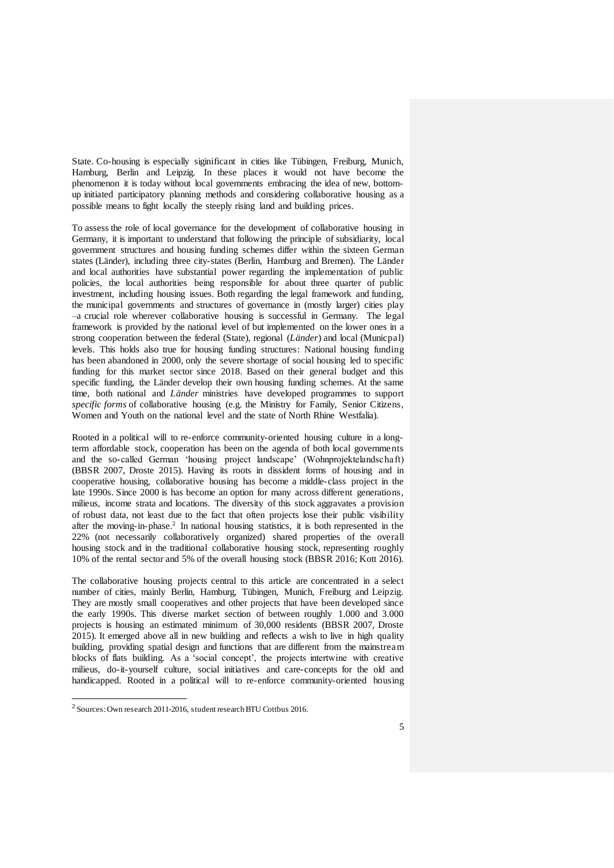State. Co-housing is especially siginificant in cities like Tübingen, Freiburg, Munich, Hamburg, Berlin and Leipzig. In these places it would not have become the phenomenon it is today without local governments embracing the idea of new, bottomup initiated participatory planning methods and considering collaborative housing as a possible means to fight locally the steeply rising land and building prices.

To assess the role of local governance for the development of collaborative housing in Germany, it is important to understand that following the principle of subsidiarity, local government structures and housing funding schemes differ within the sixteen German states (Länder), including three city-states (Berlin, Hamburg and Bremen). The Länder and local authorities have substantial power regarding the implementation of public policies, the local authorities being responsible for about three quarter of public investment, including housing issues. Both regarding the legal framework and funding, the municipal governments and structures of governance in (mostly larger) cities play –a crucial role wherever collaborative housing is successful in Germany. The legal framework is provided by the national level of but implemented on the lower ones in a strong cooperation between the federal (State), regional (*Länder*) and local (Municpal) levels. This holds also true for housing funding structures: National housing funding has been abandoned in 2000, only the severe shortage of social housing led to specific funding for this market sector since 2018. Based on their general budget and this specific funding, the Länder develop their own housing funding schemes. At the same time, both national and *Länder* ministries have developed programmes to support *specific forms* of collaborative housing (e.g. the Ministry for Family, Senior Citizens, Women and Youth on the national level and the state of North Rhine Westfalia).

Rooted in a political will to re-enforce community-oriented housing culture in a longterm affordable stock, cooperation has been on the agenda of both local governments and the so-called German 'housing project landscape' (Wohnprojektelandschaft) (BBSR 2007, Droste 2015). Having its roots in dissident forms of housing and in cooperative housing, collaborative housing has become a middle-class project in the late 1990s. Since 2000 is has become an option for many across different generations, milieus, income strata and locations. The diversity of this stock aggravates a provision of robust data, not least due to the fact that often projects lose their public visibility after the moving-in-phase.<sup>2</sup> In national housing statistics, it is both represented in the 22% (not necessarily collaboratively organized) shared properties of the overall housing stock and in the traditional collaborative housing stock, representing roughly 10% of the rental sector and 5% of the overall housing stock (BBSR 2016; Kott 2016).

The collaborative housing projects central to this article are concentrated in a select number of cities, mainly Berlin, Hamburg, Tübingen, Munich, Freiburg and Leipzig. They are mostly small cooperatives and other projects that have been developed since the early 1990s. This diverse market section of between roughly 1.000 and 3.000 projects is housing an estimated minimum of 30,000 residents (BBSR 2007, Droste 2015). It emerged above all in new building and reflects a wish to live in high quality building, providing spatial design and functions that are different from the mainstream blocks of flats building. As a 'social concept', the projects intertwine with creative milieus, do-it-yourself culture, social initiatives and care-concepts for the old and handicapped. Rooted in a political will to re-enforce community-oriented housing

<sup>2</sup> Sources: Own research 2011-2016, student research BTU Cottbus 2016.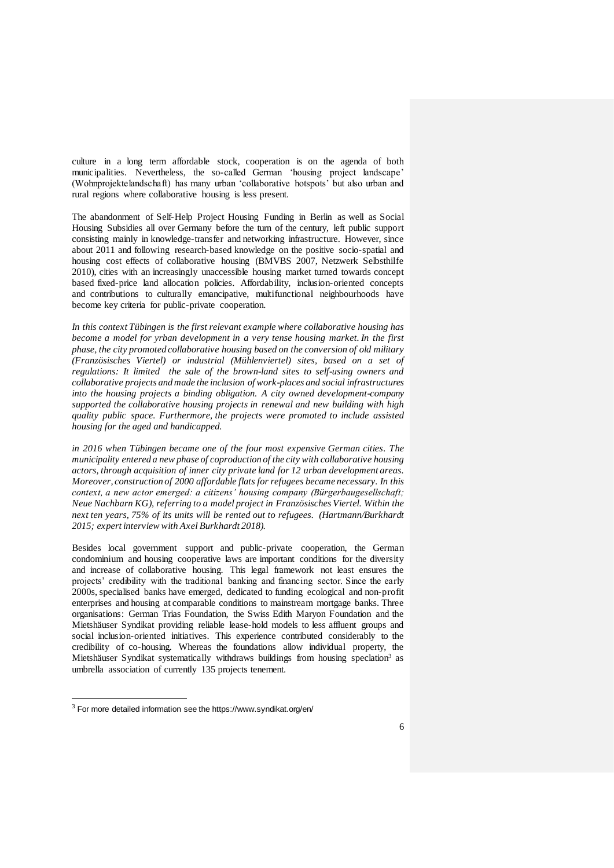culture in a long term affordable stock, cooperation is on the agenda of both municipalities. Nevertheless, the so-called German 'housing project landscape' (Wohnprojektelandschaft) has many urban 'collaborative hotspots' but also urban and rural regions where collaborative housing is less present.

The abandonment of Self-Help Project Housing Funding in Berlin as well as Social Housing Subsidies all over Germany before the turn of the century, left public support consisting mainly in knowledge-transfer and networking infrastructure. However, since about 2011 and following research-based knowledge on the positive socio-spatial and housing cost effects of collaborative housing (BMVBS 2007, Netzwerk Selbsthilfe 2010), cities with an increasingly unaccessible housing market turned towards concept based fixed-price land allocation policies. Affordability, inclusion-oriented concepts and contributions to culturally emancipative, multifunctional neighbourhoods have become key criteria for public-private cooperation.

*In this context Tübingen is the first relevant example where collaborative housing has become a model for yrban development in a very tense housing market. In the first phase, the city promoted collaborative housing based on the conversion of old military (Französisches Viertel) or industrial (Mühlenviertel) sites, based on a set of regulations: It limited the sale of the brown-land sites to self-using owners and collaborative projects and made the inclusion of work-places and social infrastructures into the housing projects a binding obligation. A city owned development-company supported the collaborative housing projects in renewal and new building with high quality public space. Furthermore, the projects were promoted to include assisted housing for the aged and handicapped.* 

*in 2016 when Tübingen became one of the four most expensive German cities. The municipality entered a new phase of coproduction of the city with collaborative housing actors, through acquisition of inner city private land for 12 urban development areas. Moreover, construction of 2000 affordable flats for refugees became necessary. In this context, a new actor emerged: a citizens' housing company (Bürgerbaugesellschaft; Neue Nachbarn KG), referring to a model project in Französisches Viertel. Within the next ten years, 75% of its units will be rented out to refugees. (Hartmann/Burkhardt 2015; expert interview with Axel Burkhardt 2018).* 

Besides local government support and public-private cooperation, the German condominium and housing cooperative laws are important conditions for the diversity and increase of collaborative housing. This legal framework not least ensures the projects' credibility with the traditional banking and financing sector. Since the early 2000s, specialised banks have emerged, dedicated to funding ecological and non-profit enterprises and housing at comparable conditions to mainstream mortgage banks. Three organisations: German Trias Foundation, the Swiss Edith Maryon Foundation and the Mietshäuser Syndikat providing reliable lease-hold models to less affluent groups and social inclusion-oriented initiatives. This experience contributed considerably to the credibility of co-housing. Whereas the foundations allow individual property, the Mietshäuser Syndikat systematically withdraws buildings from housing speclation<sup>3</sup> as umbrella association of currently 135 projects tenement.

 $3$  For more detailed information see the https://www.syndikat.org/en/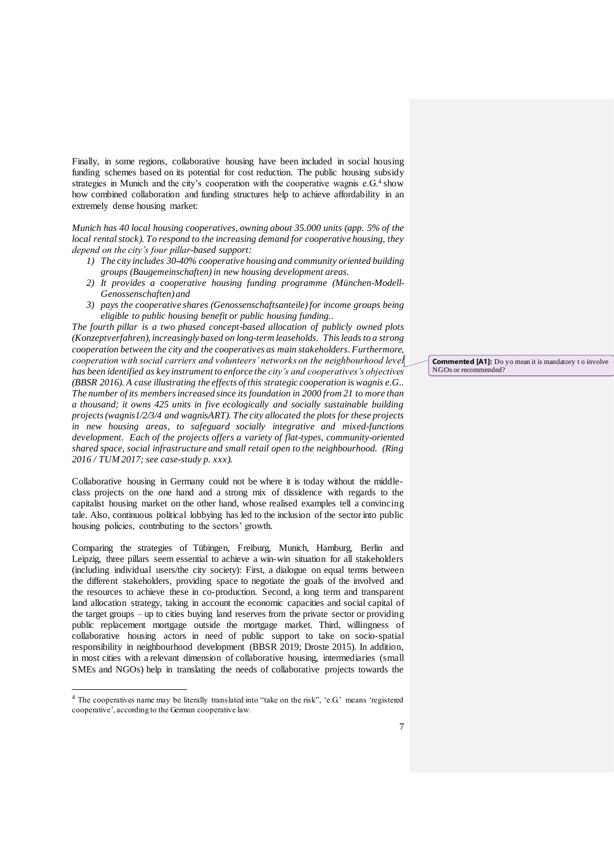Finally, in some regions, collaborative housing have been included in social housing funding schemes based on its potential for cost reduction. The public housing subsidy strategies in Munich and the city's cooperation with the cooperative wagnis e.G.<sup>4</sup> show how combined collaboration and funding structures help to achieve affordability in an extremely dense housing market:

*Munich has 40 local housing cooperatives, owning about 35.000 units (app. 5% of the local rental stock). To respond to the increasing demand for cooperative housing, they depend on the city's four pillar-based support:* 

- *1) The city includes 30-40% cooperative housing and community oriented building groups (Baugemeinschaften) in new housing development areas.*
- *2) It provides a cooperative housing funding programme (München-Modell-Genossenschaften) and*
- *3) pays the cooperative shares (Genossenschaftsanteile) for income groups being eligible to public housing benefit or public housing funding..*

*The fourth pillar is a two phased concept-based allocation of publicly owned plots (Konzeptverfahren), increasingly based on long-term leaseholds. This leads to a strong cooperation between the city and the cooperatives as main stakeholders.Furthermore, cooperation with social carriers and volunteers' networks on the neighbourhood level has been identified as key instrument to enforce the city's and cooperatives's objectives (BBSR 2016). A case illustrating the effects of this strategic cooperation is wagnis e.G.. The number of its members increased since its foundation in 2000 from 21 to more than a thousand; it owns 425 units in five ecologically and socially sustainable building projects (wagnis1/2/3/4 and wagnisART). The city allocated the plots for these projects in new housing areas, to safeguard socially integrative and mixed-functions development. Each of the projects offers a variety of flat-types, community-oriented shared space, social infrastructure and small retail open to the neighbourhood. (Ring 2016 / TUM 2017; see case-study p. xxx).* 

Collaborative housing in Germany could not be where it is today without the middleclass projects on the one hand and a strong mix of dissidence with regards to the capitalist housing market on the other hand, whose realised examples tell a convincing tale. Also, continuous political lobbying has led to the inclusion of the sector into public housing policies, contributing to the sectors' growth.

Comparing the strategies of Tübingen, Freiburg, Munich, Hamburg, Berlin and Leipzig, three pillars seem essential to achieve a win-win situation for all stakeholders (including individual users/the city society): First, a dialogue on equal terms between the different stakeholders, providing space to negotiate the goals of the involved and the resources to achieve these in co-production. Second, a long term and transparent land allocation strategy, taking in account the economic capacities and social capital of the target groups – up to cities buying land reserves from the private sector or providing public replacement mortgage outside the mortgage market. Third, willingness of collaborative housing actors in need of public support to take on socio-spatial responsibility in neighbourhood development (BBSR 2019; Droste 2015). In addition, in most cities with a relevant dimension of collaborative housing, intermediaries (small SMEs and NGOs) help in translating the needs of collaborative projects towards the

l

**Commented [A1]:** Do yo mean it is mandatory to involve NGOs or recommended?

<sup>4</sup> The cooperatives name may be literally translated into "take on the risk", 'e.G.' means 'registered cooperative', according to the German cooperative law.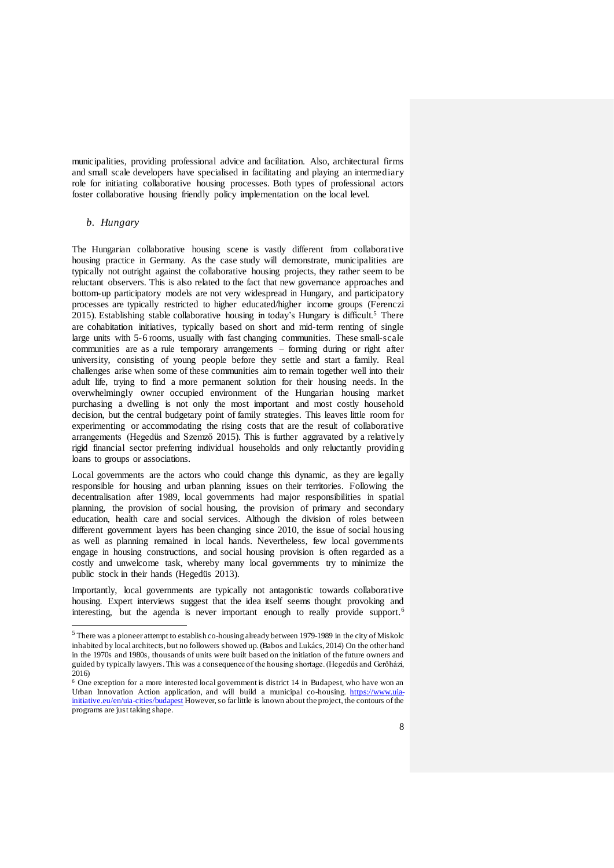municipalities, providing professional advice and facilitation. Also, architectural firms and small scale developers have specialised in facilitating and playing an intermediary role for initiating collaborative housing processes. Both types of professional actors foster collaborative housing friendly policy implementation on the local level.

## *b. Hungary*

l

The Hungarian collaborative housing scene is vastly different from collaborative housing practice in Germany. As the case study will demonstrate, municipalities are typically not outright against the collaborative housing projects, they rather seem to be reluctant observers. This is also related to the fact that new governance approaches and bottom-up participatory models are not very widespread in Hungary, and participatory processes are typically restricted to higher educated/higher income groups (Ferenczi 2015). Establishing stable collaborative housing in today's Hungary is difficult.<sup>5</sup> There are cohabitation initiatives, typically based on short and mid-term renting of single large units with 5-6 rooms, usually with fast changing communities. These small-scale communities are as a rule temporary arrangements – forming during or right after university, consisting of young people before they settle and start a family. Real challenges arise when some of these communities aim to remain together well into their adult life, trying to find a more permanent solution for their housing needs. In the overwhelmingly owner occupied environment of the Hungarian housing market purchasing a dwelling is not only the most important and most costly household decision, but the central budgetary point of family strategies. This leaves little room for experimenting or accommodating the rising costs that are the result of collaborative arrangements (Hegedüs and Szemző 2015). This is further aggravated by a relatively rigid financial sector preferring individual households and only reluctantly providing loans to groups or associations.

Local governments are the actors who could change this dynamic, as they are legally responsible for housing and urban planning issues on their territories. Following the decentralisation after 1989, local governments had major responsibilities in spatial planning, the provision of social housing, the provision of primary and secondary education, health care and social services. Although the division of roles between different government layers has been changing since 2010, the issue of social housing as well as planning remained in local hands. Nevertheless, few local governments engage in housing constructions, and social housing provision is often regarded as a costly and unwelcome task, whereby many local governments try to minimize the public stock in their hands (Hegedüs 2013).

Importantly, local governments are typically not antagonistic towards collaborative housing. Expert interviews suggest that the idea itself seems thought provoking and interesting, but the agenda is never important enough to really provide support.<sup>6</sup>

 $5$  There was a pioneer attempt to establish co-housing already between 1979-1989 in the city of Miskolc inhabited by local architects, but no followers showed up. (Babos and Lukács, 2014) On the other hand in the 1970s and 1980s, thousands of units were built based on the initiation of the future owners and guided by typically lawyers. This was a consequence of the housing shortage. (Hegedüs and Gerőházi, 2016)

<sup>6</sup> One exception for a more interested local government is district 14 in Budapest, who have won an Urban Innovation Action application, and will build a municipal co-housing. [https://www.uia](https://www.uia-initiative.eu/en/uia-cities/budapest)[initiative.eu/en/uia-cities/budapest](https://www.uia-initiative.eu/en/uia-cities/budapest) However, so far little is known about the project, the contours of the programs are just taking shape.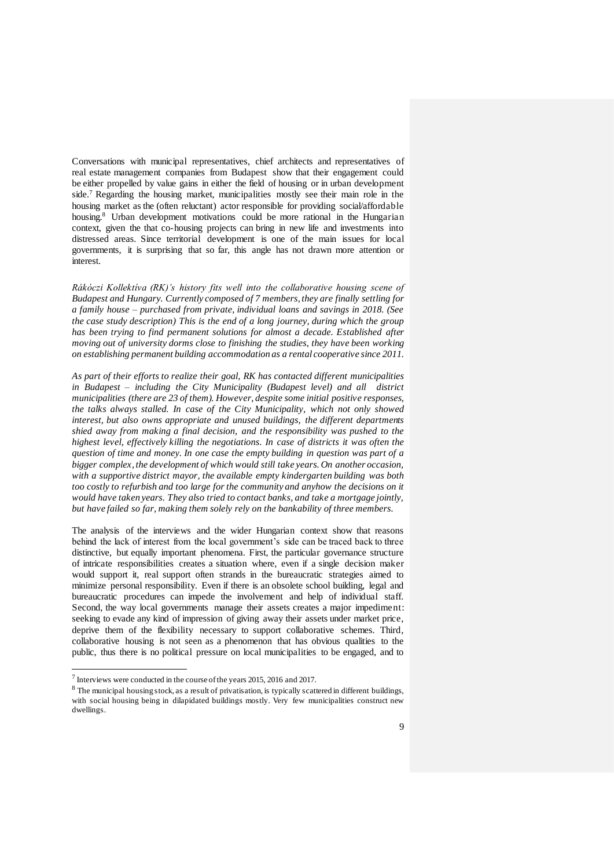Conversations with municipal representatives, chief architects and representatives of real estate management companies from Budapest show that their engagement could be either propelled by value gains in either the field of housing or in urban development side.<sup>7</sup> Regarding the housing market, municipalities mostly see their main role in the housing market as the (often reluctant) actor responsible for providing social/affordable housing.<sup>8</sup> Urban development motivations could be more rational in the Hungarian context, given the that co-housing projects can bring in new life and investments into distressed areas. Since territorial development is one of the main issues for local governments, it is surprising that so far, this angle has not drawn more attention or interest.

*Rákóczi Kollektíva (RK)'s history fits well into the collaborative housing scene of Budapest and Hungary. Currently composed of 7 members, they are finally settling for a family house – purchased from private, individual loans and savings in 2018. (See the case study description) This is the end of a long journey, during which the group has been trying to find permanent solutions for almost a decade. Established after moving out of university dorms close to finishing the studies, they have been working on establishing permanent building accommodation as a rental cooperative since 2011.* 

*As part of their efforts to realize their goal, RK has contacted different municipalities in Budapest – including the City Municipality (Budapest level) and all district municipalities (there are 23 of them). However, despite some initial positive responses, the talks always stalled. In case of the City Municipality, which not only showed interest, but also owns appropriate and unused buildings, the different departments shied away from making a final decision, and the responsibility was pushed to the highest level, effectively killing the negotiations. In case of districts it was often the question of time and money. In one case the empty building in question was part of a bigger complex, the development of which would still take years. On another occasion, with a supportive district mayor, the available empty kindergarten building was both too costly to refurbish and too large for the community and anyhow the decisions on it would have taken years. They also tried to contact banks, and take a mortgage jointly, but have failed so far, making them solely rely on the bankability of three members.* 

The analysis of the interviews and the wider Hungarian context show that reasons behind the lack of interest from the local government's side can be traced back to three distinctive, but equally important phenomena. First, the particular governance structure of intricate responsibilities creates a situation where, even if a single decision maker would support it, real support often strands in the bureaucratic strategies aimed to minimize personal responsibility. Even if there is an obsolete school building, legal and bureaucratic procedures can impede the involvement and help of individual staff. Second, the way local governments manage their assets creates a major impediment: seeking to evade any kind of impression of giving away their assets under market price, deprive them of the flexibility necessary to support collaborative schemes. Third, collaborative housing is not seen as a phenomenon that has obvious qualities to the public, thus there is no political pressure on local municipalities to be engaged, and to

<sup>&</sup>lt;sup>7</sup> Interviews were conducted in the course of the years 2015, 2016 and 2017.

<sup>&</sup>lt;sup>8</sup> The municipal housing stock, as a result of privatisation, is typically scattered in different buildings, with social housing being in dilapidated buildings mostly. Very few municipalities construct new dwellings.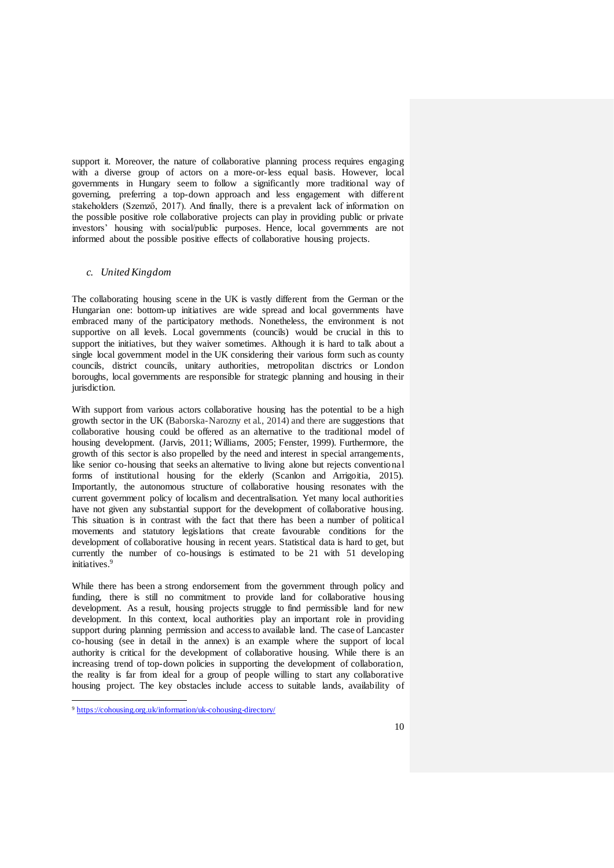support it. Moreover, the nature of collaborative planning process requires engaging with a diverse group of actors on a more-or-less equal basis. However, local governments in Hungary seem to follow a significantly more traditional way of governing, preferring a top-down approach and less engagement with different stakeholders (Szemző, 2017). And finally, there is a prevalent lack of information on the possible positive role collaborative projects can play in providing public or private investors' housing with social/public purposes. Hence, local governments are not informed about the possible positive effects of collaborative housing projects.

#### *c. United Kingdom*

The collaborating housing scene in the UK is vastly different from the German or the Hungarian one: bottom-up initiatives are wide spread and local governments have embraced many of the participatory methods. Nonetheless, the environment is not supportive on all levels. Local governments (councils) would be crucial in this to support the initiatives, but they waiver sometimes. Although it is hard to talk about a single local government model in the UK considering their various form such as county councils, district councils, unitary authorities, metropolitan disctrics or London boroughs, local governments are responsible for strategic planning and housing in their jurisdiction.

With support from various actors collaborative housing has the potential to be a high growth sector in the UK (Baborska-Narozny et al., 2014) and there are suggestions that collaborative housing could be offered as an alternative to the traditional model of housing development. (Jarvis, 2011; Williams, 2005; Fenster, 1999). Furthermore, the growth of this sector is also propelled by the need and interest in special arrangements, like senior co-housing that seeks an alternative to living alone but rejects conventional forms of institutional housing for the elderly (Scanlon and Arrigoitia, 2015). Importantly, the autonomous structure of collaborative housing resonates with the current government policy of localism and decentralisation. Yet many local authorities have not given any substantial support for the development of collaborative housing. This situation is in contrast with the fact that there has been a number of political movements and statutory legislations that create favourable conditions for the development of collaborative housing in recent years. Statistical data is hard to get, but currently the number of co-housings is estimated to be 21 with 51 developing initiatives.<sup>9</sup>

While there has been a strong endorsement from the government through policy and funding, there is still no commitment to provide land for collaborative housing development. As a result, housing projects struggle to find permissible land for new development. In this context, local authorities play an important role in providing support during planning permission and access to available land. The case of Lancaster co-housing (see in detail in the annex) is an example where the support of local authority is critical for the development of collaborative housing. While there is an increasing trend of top-down policies in supporting the development of collaboration, the reality is far from ideal for a group of people willing to start any collaborative housing project. The key obstacles include access to suitable lands, availability of

<sup>9</sup> <https://cohousing.org.uk/information/uk-cohousing-directory/>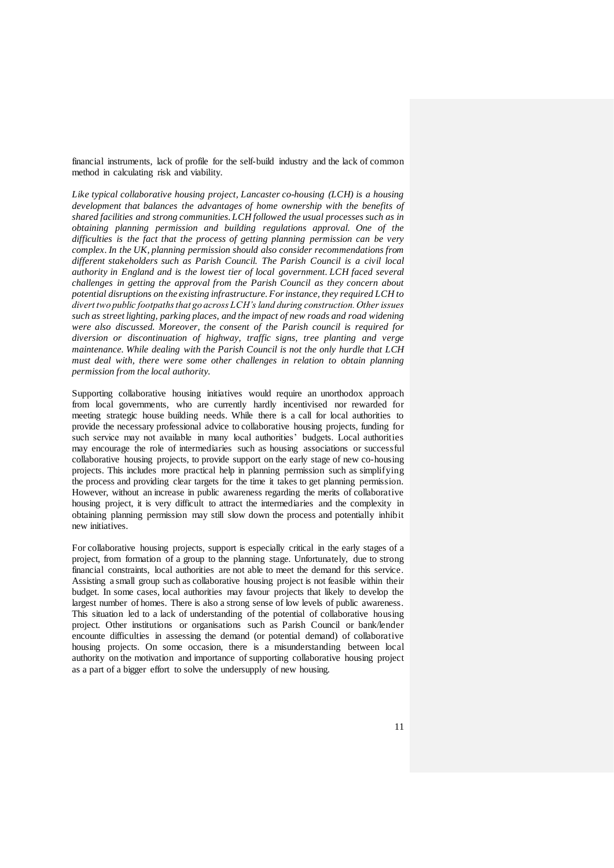financial instruments, lack of profile for the self-build industry and the lack of common method in calculating risk and viability.

*Like typical collaborative housing project, Lancaster co-housing (LCH) is a housing development that balances the advantages of home ownership with the benefits of shared facilities and strong communities. LCH followed the usual processes such as in obtaining planning permission and building regulations approval. One of the difficulties is the fact that the process of getting planning permission can be very complex. In the UK, planning permission should also consider recommendations from different stakeholders such as Parish Council. The Parish Council is a civil local authority in England and is the lowest tier of local government. LCH faced several challenges in getting the approval from the Parish Council as they concern about potential disruptions on the existing infrastructure. For instance, they required LCH to divert two public footpaths that go across LCH's land during construction. Other issues such as street lighting, parking places, and the impact of new roads and road widening were also discussed. Moreover, the consent of the Parish council is required for diversion or discontinuation of highway, traffic signs, tree planting and verge maintenance. While dealing with the Parish Council is not the only hurdle that LCH must deal with, there were some other challenges in relation to obtain planning permission from the local authority.* 

Supporting collaborative housing initiatives would require an unorthodox approach from local governments, who are currently hardly incentivised nor rewarded for meeting strategic house building needs. While there is a call for local authorities to provide the necessary professional advice to collaborative housing projects, funding for such service may not available in many local authorities' budgets. Local authorities may encourage the role of intermediaries such as housing associations or successful collaborative housing projects, to provide support on the early stage of new co-housing projects. This includes more practical help in planning permission such as simplifying the process and providing clear targets for the time it takes to get planning permission. However, without an increase in public awareness regarding the merits of collaborative housing project, it is very difficult to attract the intermediaries and the complexity in obtaining planning permission may still slow down the process and potentially inhibit new initiatives.

For collaborative housing projects, support is especially critical in the early stages of a project, from formation of a group to the planning stage. Unfortunately, due to strong financial constraints, local authorities are not able to meet the demand for this service. Assisting a small group such as collaborative housing project is not feasible within their budget. In some cases, local authorities may favour projects that likely to develop the largest number of homes. There is also a strong sense of low levels of public awareness. This situation led to a lack of understanding of the potential of collaborative housing project. Other institutions or organisations such as Parish Council or bank/lender encounte difficulties in assessing the demand (or potential demand) of collaborative housing projects. On some occasion, there is a misunderstanding between local authority on the motivation and importance of supporting collaborative housing project as a part of a bigger effort to solve the undersupply of new housing.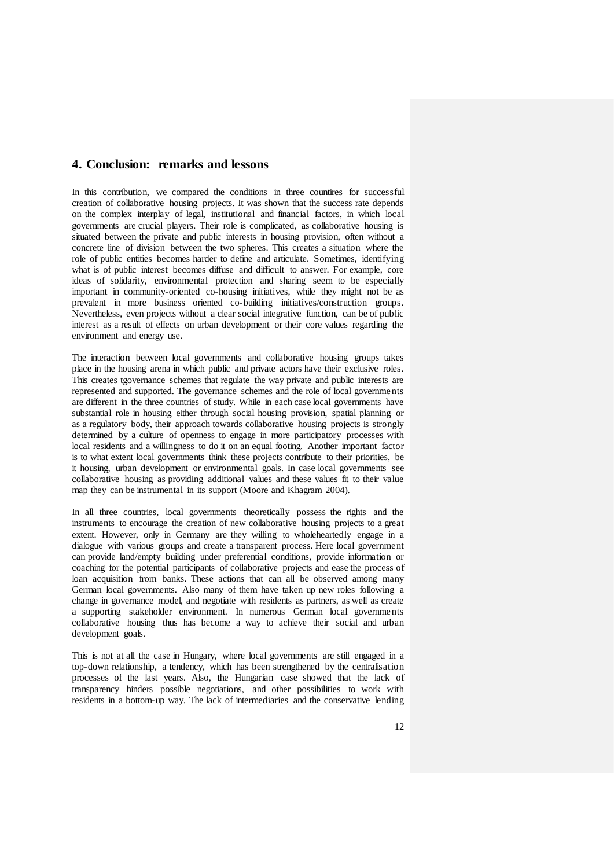## **4. Conclusion: remarks and lessons**

In this contribution, we compared the conditions in three countires for successful creation of collaborative housing projects. It was shown that the success rate depends on the complex interplay of legal, institutional and financial factors, in which local governments are crucial players. Their role is complicated, as collaborative housing is situated between the private and public interests in housing provision, often without a concrete line of division between the two spheres. This creates a situation where the role of public entities becomes harder to define and articulate. Sometimes, identifying what is of public interest becomes diffuse and difficult to answer. For example, core ideas of solidarity, environmental protection and sharing seem to be especially important in community-oriented co-housing initiatives, while they might not be as prevalent in more business oriented co-building initiatives/construction groups. Nevertheless, even projects without a clear social integrative function, can be of public interest as a result of effects on urban development or their core values regarding the environment and energy use.

The interaction between local governments and collaborative housing groups takes place in the housing arena in which public and private actors have their exclusive roles. This creates tgovernance schemes that regulate the way private and public interests are represented and supported. The governance schemes and the role of local governments are different in the three countries of study. While in each case local governments have substantial role in housing either through social housing provision, spatial planning or as a regulatory body, their approach towards collaborative housing projects is strongly determined by a culture of openness to engage in more participatory processes with local residents and a willingness to do it on an equal footing. Another important factor is to what extent local governments think these projects contribute to their priorities, be it housing, urban development or environmental goals. In case local governments see collaborative housing as providing additional values and these values fit to their value map they can be instrumental in its support (Moore and Khagram 2004).

In all three countries, local governments theoretically possess the rights and the instruments to encourage the creation of new collaborative housing projects to a great extent. However, only in Germany are they willing to wholeheartedly engage in a dialogue with various groups and create a transparent process. Here local government can provide land/empty building under preferential conditions, provide information or coaching for the potential participants of collaborative projects and ease the process of loan acquisition from banks. These actions that can all be observed among many German local governments. Also many of them have taken up new roles following a change in governance model, and negotiate with residents as partners, as well as create a supporting stakeholder environment. In numerous German local governments collaborative housing thus has become a way to achieve their social and urban development goals.

This is not at all the case in Hungary, where local governments are still engaged in a top-down relationship, a tendency, which has been strengthened by the centralisation processes of the last years. Also, the Hungarian case showed that the lack of transparency hinders possible negotiations, and other possibilities to work with residents in a bottom-up way. The lack of intermediaries and the conservative lending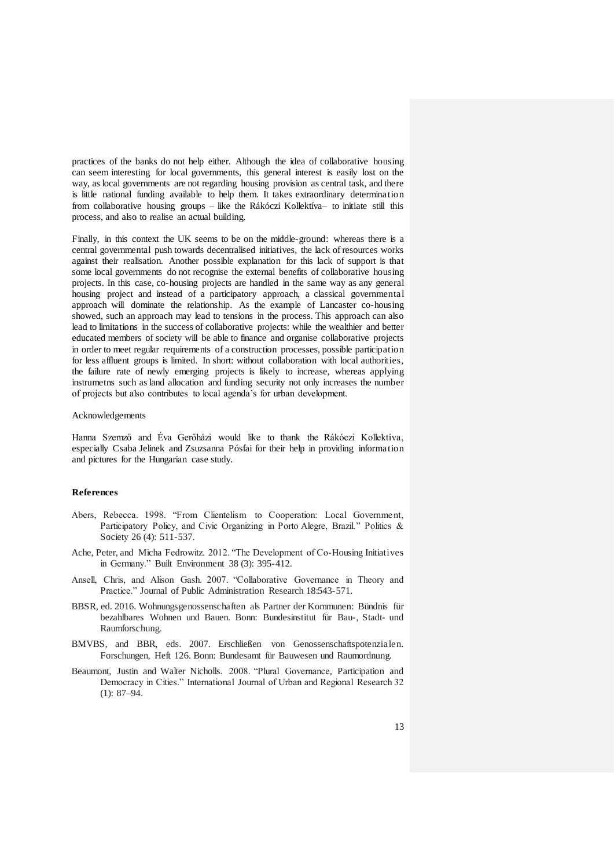practices of the banks do not help either. Although the idea of collaborative housing can seem interesting for local governments, this general interest is easily lost on the way, as local governments are not regarding housing provision as central task, and there is little national funding available to help them. It takes extraordinary determination from collaborative housing groups – like the Rákóczi Kollektíva– to initiate still this process, and also to realise an actual building.

Finally, in this context the UK seems to be on the middle-ground: whereas there is a central governmental push towards decentralised initiatives, the lack of resources works against their realisation. Another possible explanation for this lack of support is that some local governments do not recognise the external benefits of collaborative housing projects. In this case, co-housing projects are handled in the same way as any general housing project and instead of a participatory approach, a classical governmental approach will dominate the relationship. As the example of Lancaster co-housing showed, such an approach may lead to tensions in the process. This approach can also lead to limitations in the success of collaborative projects: while the wealthier and better educated members of society will be able to finance and organise collaborative projects in order to meet regular requirements of a construction processes, possible participation for less affluent groups is limited. In short: without collaboration with local authorities, the failure rate of newly emerging projects is likely to increase, whereas applying instrumetns such as land allocation and funding security not only increases the number of projects but also contributes to local agenda's for urban development.

#### Acknowledgements

Hanna Szemző and Éva Gerőházi would like to thank the Rákóczi Kollektíva, especially Csaba Jelinek and Zsuzsanna Pósfai for their help in providing information and pictures for the Hungarian case study.

### **References**

- Abers, Rebecca. 1998. "From Clientelism to Cooperation: Local Government, Participatory Policy, and Civic Organizing in Porto Alegre, Brazil." Politics & Society 26 (4): 511-537.
- [Ache, Peter,](http://www.ingentaconnect.com/search?option2=author&value2=Ache,%20Peter) and [Micha](http://www.ingentaconnect.com/search?option2=author&value2=Fedrowitz,%20Micha) Fedrowitz. 2012. "The Development of Co-Housing Initiatives in Germany." [Built Environment](http://www.ingentaconnect.com/content/alex/benv) 38 (3): 395-412.
- Ansell, Chris, and Alison Gash. 2007. "Collaborative Governance in Theory and Practice." Journal of Public Administration Research 18:543-571.
- BBSR, ed. 2016. Wohnungsgenossenschaften als Partner der Kommunen: Bündnis für bezahlbares Wohnen und Bauen. Bonn: Bundesinstitut für Bau-, Stadt- und Raumforschung.
- BMVBS, and BBR, eds. 2007. Erschließen von Genossenschaftspotenzialen. Forschungen, Heft 126. Bonn: Bundesamt für Bauwesen und Raumordnung.
- Beaumont, Justin and Walter Nicholls. 2008. "Plural Governance, Participation and Democracy in Cities." International Journal of Urban and Regional Research 32 (1): 87–94.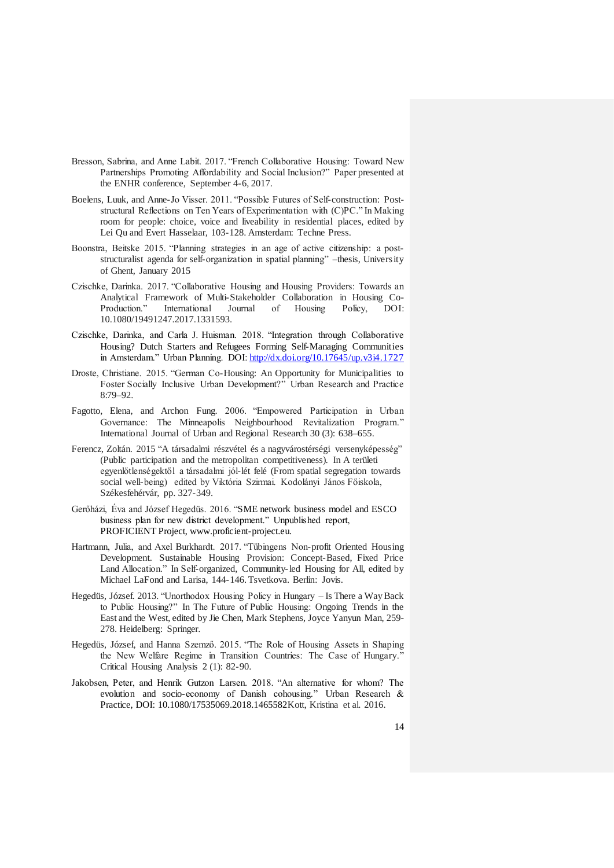- Bresson, Sabrina, and Anne Labit. 2017. "French Collaborative Housing: Toward New Partnerships Promoting Affordability and Social Inclusion?" Paper presented at the ENHR conference, September 4-6, 2017.
- Boelens, Luuk, and Anne-Jo Visser. 2011. "Possible Futures of Self-construction: Poststructural Reflections on Ten Years of Experimentation with (C)PC." In Making room for people: choice, voice and liveability in residential places, edited by Lei Qu and Evert Hasselaar, 103-128. Amsterdam: Techne Press.
- Boonstra, Beitske 2015. "Planning strategies in an age of active citizenship: a poststructuralist agenda for self-organization in spatial planning" –thesis, University of Ghent, January 2015
- Czischke, Darinka. 2017. "Collaborative Housing and Housing Providers: Towards an Analytical Framework of Multi-Stakeholder Collaboration in Housing Co-Production." International Journal of Housing Policy, DOI: 10.1080/19491247.2017.1331593.
- Czischke, Darinka, and Carla J. Huisman. 2018. "Integration through Collaborative Housing? Dutch Starters and Refugees Forming Self-Managing Communities in Amsterdam." Urban Planning. DOI[: http://dx.doi.org/10.17645/up.v3i4.1727](http://dx.doi.org/10.17645/up.v3i4.1727)
- Droste, Christiane. 2015. "German Co-Housing: An Opportunity for Municipalities to Foster Socially Inclusive Urban Development?" Urban Research and Practice 8:79–92.
- Fagotto, Elena, and Archon Fung. 2006. "Empowered Participation in Urban Governance: The Minneapolis Neighbourhood Revitalization Program." International Journal of Urban and Regional Research 30 (3): 638–655.
- Ferencz, Zoltán. 2015 "A társadalmi részvétel és a nagyvárostérségi versenyképesség" (Public participation and the metropolitan competitiveness)*.* In A területi egyenlőtlenségektől a társadalmi jól-lét felé (From spatial segregation towards social well-being) edited by Viktória Szirmai. Kodolányi János Főiskola, Székesfehérvár, pp. 327-349.
- Gerőházi, Éva and József Hegedüs. 2016. "SME network business model and ESCO business plan for new district development." Unpublished report, PROFICIENT Project, www.proficient-project.eu.
- Hartmann, Julia, and Axel Burkhardt. 2017. "Tübingens Non-profit Oriented Housing Development. Sustainable Housing Provision: Concept-Based, Fixed Price Land Allocation." In Self-organized, Community-led Housing for All, edited by Michael LaFond and Larisa, 144-146. Tsvetkova. Berlin: Jovis.
- Hegedüs, József. 2013. "Unorthodox Housing Policy in Hungary Is There a Way Back to Public Housing?" In The Future of Public Housing: Ongoing Trends in the East and the West, edited by Jie Chen, Mark Stephens, Joyce Yanyun Man, 259- 278. Heidelberg: Springer.
- Hegedüs, József, and Hanna Szemző. 2015. "The Role of Housing Assets in Shaping the New Welfare Regime in Transition Countries: The Case of Hungary." Critical Housing Analysis 2 (1): 82-90.
- Jakobsen, Peter, and Henrik Gutzon Larsen. 2018. "An alternative for whom? The evolution and socio-economy of Danish cohousing." Urban Research & Practice, DOI: 10.1080/17535069.2018.1465582Kott, Kristina et al. 2016.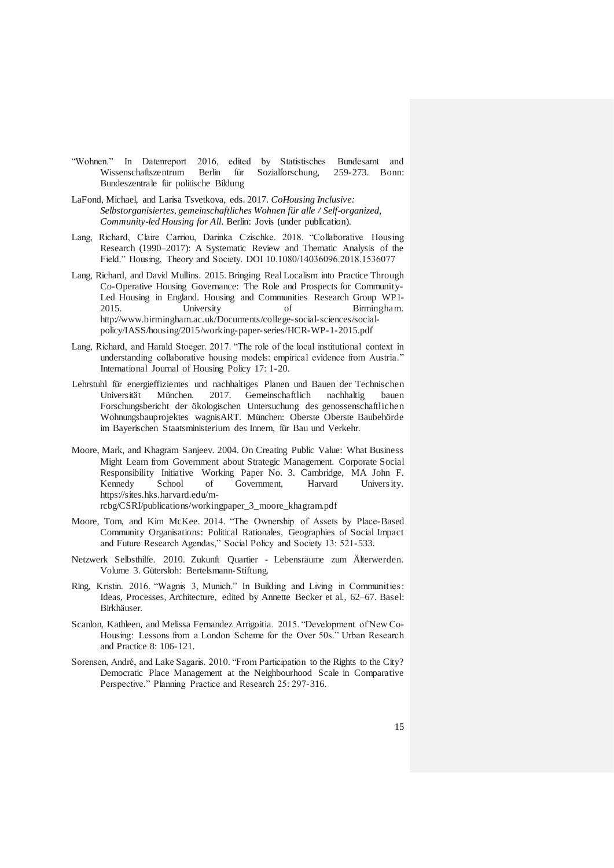- "Wohnen." In Datenreport 2016, edited by Statistisches Bundesamt and Wissenschaftszentrum Berlin für Sozialforschung, 259-273. Bonn: Bundeszentrale für politische Bildung
- LaFond, Michael, and Larisa Tsvetkova, eds. 2017. *CoHousing Inclusive: Selbstorganisiertes, gemeinschaftliches Wohnen für alle / Self-organized, Community-led Housing for All*. Berlin: Jovis (under publication).
- Lang, Richard, Claire Carriou, Darinka Czischke. 2018. "Collaborative Housing Research (1990–2017): A Systematic Review and Thematic Analysis of the Field." Housing, Theory and Society. DOI 10.1080/14036096.2018.1536077
- Lang, Richard, and David Mullins. 2015. Bringing Real Localism into Practice Through Co-Operative Housing Governance: The Role and Prospects for Community-Led Housing in England. [Housing and Communities Research Group WP1-](http://www.birmingham.ac.uk/Documents/college-social-sciences/social-policy/IASS/housing/2015/working-paper-series/HCR-WP-1-2015.pdf) [2015.](http://www.birmingham.ac.uk/Documents/college-social-sciences/social-policy/IASS/housing/2015/working-paper-series/HCR-WP-1-2015.pdf) University of Birmingham. [http://www.birmingham.ac.uk/Documents/college-social-sciences/social](http://www.birmingham.ac.uk/Documents/college-social-sciences/social-policy/IASS/housing/2015/working-paper-series/HCR-WP-1-2015.pdf)[policy/IASS/housing/2015/working-paper-series/HCR-WP-1-2015.pdf](http://www.birmingham.ac.uk/Documents/college-social-sciences/social-policy/IASS/housing/2015/working-paper-series/HCR-WP-1-2015.pdf)
- Lang, Richard, and Harald Stoeger. 2017. "The role of the local institutional context in understanding collaborative housing models: empirical evidence from Austria." International Journal of Housing Policy 17: 1-20.
- Lehrstuhl für energieffizientes und nachhaltiges Planen und Bauen der Technischen Universität München. 2017. Gemeinschaftlich nachhaltig bauen Forschungsbericht der ökologischen Untersuchung des genossenschaftlichen Wohnungsbauprojektes wagnisART. München: Oberste Oberste Baubehörde im Bayerischen Staatsministerium des Innern, für Bau und Verkehr.
- Moore, Mark, and Khagram Sanjeev. 2004. On Creating Public Value: What Business Might Learn from Government about Strategic Management. Corporate Social Responsibility Initiative Working Paper No. 3. Cambridge, MA John F. Kennedy School of Government, Harvard University. [https://sites.hks.harvard.edu/m](https://sites.hks.harvard.edu/m-rcbg/CSRI/publications/workingpaper_3_moore_khagram.pdf)[rcbg/CSRI/publications/workingpaper\\_3\\_moore\\_khagram.pdf](https://sites.hks.harvard.edu/m-rcbg/CSRI/publications/workingpaper_3_moore_khagram.pdf)
- Moore, Tom, and Kim McKee. 2014. "The Ownership of Assets by Place-Based Community Organisations: Political Rationales, Geographies of Social Impact and Future Research Agendas," Social Policy and Society 13: 521-533.
- Netzwerk Selbsthilfe. 2010. Zukunft Quartier Lebensräume zum Älterwerden. Volume 3. Gütersloh: Bertelsmann-Stiftung.
- Ring, Kristin. 2016. "Wagnis 3, Munich." In Building and Living in Communities: Ideas, Processes, Architecture, edited by Annette Becker et al., 62–67. Basel: Birkhäuser.
- Scanlon, Kathleen, an[d Melissa Fernandez Arrigoitia.](http://eu.wiley.com/WileyCDA/Section/id-302479.html?query=Melissa+Fernandez+Arrigoitia) 2015. "Development of New Co-Housing: Lessons from a London Scheme for the Over 50s." Urban Research and Practice 8: 106-121.
- Sorensen, André, and Lake Sagaris. 2010. "From Participation to the Rights to the City? Democratic Place Management at the Neighbourhood Scale in Comparative Perspective." Planning Practice and Research 25: 297-316.